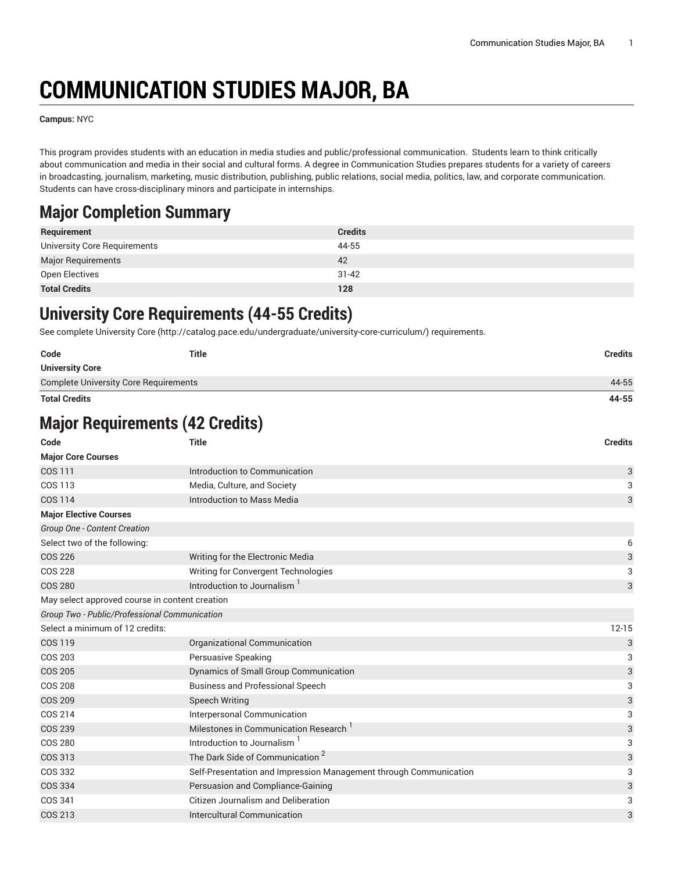# **COMMUNICATION STUDIES MAJOR, BA**

**Campus:** NYC

This program provides students with an education in media studies and public/professional communication. Students learn to think critically about communication and media in their social and cultural forms. A degree in Communication Studies prepares students for a variety of careers in broadcasting, journalism, marketing, music distribution, publishing, public relations, social media, politics, law, and corporate communication. Students can have cross-disciplinary minors and participate in internships.

#### **Major Completion Summary**

| Requirement                  | <b>Credits</b> |
|------------------------------|----------------|
| University Core Requirements | 44-55          |
| <b>Major Requirements</b>    | 42             |
| Open Electives               | $31 - 42$      |
| <b>Total Credits</b>         | 128            |

#### **University Core Requirements (44-55 Credits)**

See complete [University](http://catalog.pace.edu/undergraduate/university-core-curriculum/) Core (<http://catalog.pace.edu/undergraduate/university-core-curriculum/>) requirements.

| Code                                         | <b>Title</b> | Credits |
|----------------------------------------------|--------------|---------|
| <b>University Core</b>                       |              |         |
| <b>Complete University Core Requirements</b> |              | 44-55   |

**Total Credits 44-55**

## **Major Requirements (42 Credits)**

| Code                                           | <b>Title</b>                                                      | <b>Credits</b> |
|------------------------------------------------|-------------------------------------------------------------------|----------------|
| <b>Major Core Courses</b>                      |                                                                   |                |
| <b>COS 111</b>                                 | Introduction to Communication                                     | 3              |
| COS 113                                        | Media, Culture, and Society                                       | 3              |
| COS 114                                        | <b>Introduction to Mass Media</b>                                 | 3              |
| <b>Major Elective Courses</b>                  |                                                                   |                |
| Group One - Content Creation                   |                                                                   |                |
| Select two of the following:                   |                                                                   | 6              |
| <b>COS 226</b>                                 | Writing for the Electronic Media                                  | 3              |
| COS 228                                        | Writing for Convergent Technologies                               | 3              |
| <b>COS 280</b>                                 | Introduction to Journalism <sup>1</sup>                           | 3              |
| May select approved course in content creation |                                                                   |                |
| Group Two - Public/Professional Communication  |                                                                   |                |
| Select a minimum of 12 credits:                |                                                                   | $12 - 15$      |
| <b>COS 119</b>                                 | Organizational Communication                                      | 3              |
| <b>COS 203</b>                                 | Persuasive Speaking                                               | 3              |
| <b>COS 205</b>                                 | Dynamics of Small Group Communication                             | 3              |
| <b>COS 208</b>                                 | <b>Business and Professional Speech</b>                           | 3              |
| <b>COS 209</b>                                 | <b>Speech Writing</b>                                             | 3              |
| COS 214                                        | Interpersonal Communication                                       | 3              |
| <b>COS 239</b>                                 | Milestones in Communication Research <sup>1</sup>                 | 3              |
| <b>COS 280</b>                                 | Introduction to Journalism <sup>1</sup>                           | 3              |
| <b>COS 313</b>                                 | The Dark Side of Communication <sup>2</sup>                       | 3              |
| COS 332                                        | Self-Presentation and Impression Management through Communication | 3              |
| COS 334                                        | Persuasion and Compliance-Gaining                                 | 3              |
| COS 341                                        | <b>Citizen Journalism and Deliberation</b>                        | 3              |
| COS 213                                        | Intercultural Communication                                       | 3              |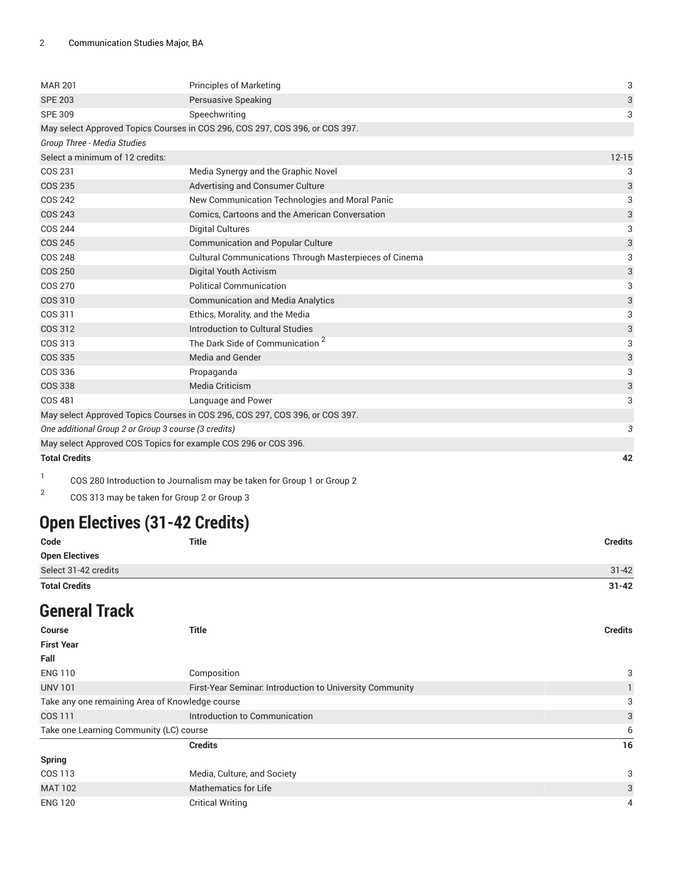| <b>MAR 201</b>                                                               | <b>Principles of Marketing</b>                                               | 3                         |
|------------------------------------------------------------------------------|------------------------------------------------------------------------------|---------------------------|
| <b>SPE 203</b>                                                               | Persuasive Speaking                                                          | 3                         |
| <b>SPE 309</b>                                                               | Speechwriting                                                                | 3                         |
|                                                                              | May select Approved Topics Courses in COS 296, COS 297, COS 396, or COS 397. |                           |
| Group Three - Media Studies                                                  |                                                                              |                           |
| Select a minimum of 12 credits:                                              |                                                                              | $12 - 15$                 |
| COS 231                                                                      | Media Synergy and the Graphic Novel                                          | 3                         |
| <b>COS 235</b>                                                               | Advertising and Consumer Culture                                             | 3                         |
| <b>COS 242</b>                                                               | New Communication Technologies and Moral Panic                               | 3                         |
| <b>COS 243</b>                                                               | Comics, Cartoons and the American Conversation                               | 3                         |
| <b>COS 244</b>                                                               | <b>Digital Cultures</b>                                                      | 3                         |
| <b>COS 245</b>                                                               | <b>Communication and Popular Culture</b>                                     | 3                         |
| <b>COS 248</b>                                                               | Cultural Communications Through Masterpieces of Cinema                       | 3                         |
| <b>COS 250</b>                                                               | Digital Youth Activism                                                       | $\ensuremath{\mathsf{3}}$ |
| <b>COS 270</b>                                                               | <b>Political Communication</b>                                               | 3                         |
| COS 310                                                                      | <b>Communication and Media Analytics</b>                                     | 3                         |
| COS 311                                                                      | Ethics, Morality, and the Media                                              | 3                         |
| <b>COS 312</b>                                                               | Introduction to Cultural Studies                                             | 3                         |
| COS 313                                                                      | The Dark Side of Communication <sup>2</sup>                                  | 3                         |
| <b>COS 335</b>                                                               | <b>Media and Gender</b>                                                      | 3                         |
| COS 336                                                                      | Propaganda                                                                   | 3                         |
| <b>COS 338</b>                                                               | Media Criticism                                                              | 3                         |
| <b>COS 481</b>                                                               | Language and Power                                                           | 3                         |
| May select Approved Topics Courses in COS 296, COS 297, COS 396, or COS 397. |                                                                              |                           |
| One additional Group 2 or Group 3 course (3 credits)                         |                                                                              | 3                         |
| May select Approved COS Topics for example COS 296 or COS 396.               |                                                                              |                           |
| <b>Total Credits</b>                                                         |                                                                              | 42                        |

1 COS 280 Introduction to Journalism may be taken for Group 1 or Group 2

2 COS 313 may be taken for Group 2 or Group 3

## **Open Electives (31-42 Credits)**

| Code                  | <b>Title</b> | <b>Credits</b> |
|-----------------------|--------------|----------------|
| <b>Open Electives</b> |              |                |
| Select 31-42 credits  |              | $31 - 42$      |
| <b>Total Credits</b>  |              | $31 - 42$      |

#### **General Track**

| <b>Course</b>                                   | <b>Title</b>                                             | <b>Credits</b> |
|-------------------------------------------------|----------------------------------------------------------|----------------|
| <b>First Year</b>                               |                                                          |                |
| Fall                                            |                                                          |                |
| <b>ENG 110</b>                                  | Composition                                              | 3              |
| <b>UNV 101</b>                                  | First-Year Seminar. Introduction to University Community |                |
| Take any one remaining Area of Knowledge course |                                                          | 3              |
| COS 111                                         | Introduction to Communication                            | 3              |
| Take one Learning Community (LC) course         |                                                          | 6              |
|                                                 | <b>Credits</b>                                           | 16             |
| <b>Spring</b>                                   |                                                          |                |
| COS 113                                         | Media, Culture, and Society                              | 3              |
| <b>MAT 102</b>                                  | <b>Mathematics for Life</b>                              | 3              |
| <b>ENG 120</b>                                  | <b>Critical Writing</b>                                  | 4              |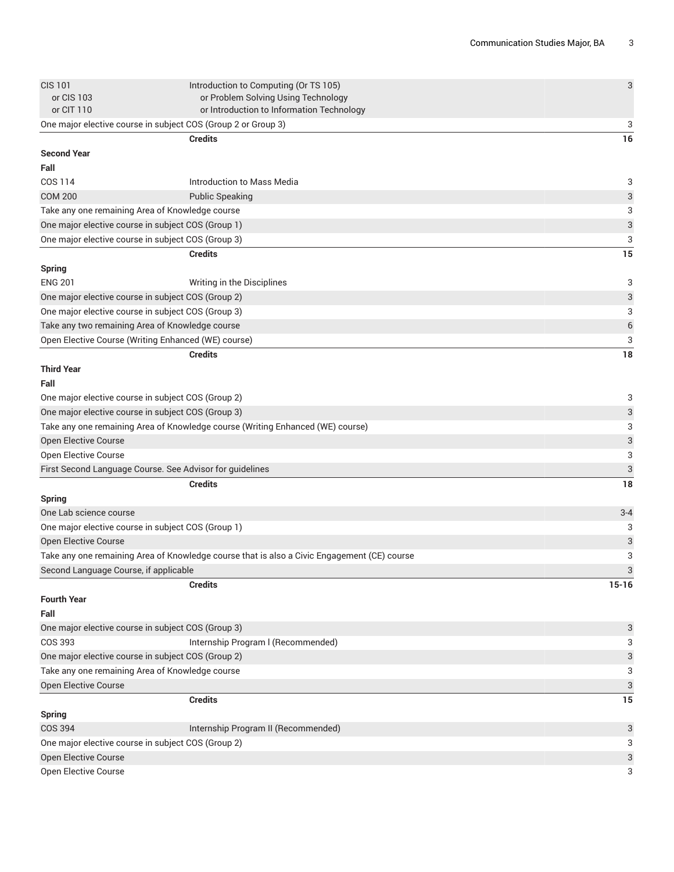| <b>CIS 101</b>                                                | Introduction to Computing (Or TS 105)                                                       | 3                         |
|---------------------------------------------------------------|---------------------------------------------------------------------------------------------|---------------------------|
| or CIS 103<br>or CIT 110                                      | or Problem Solving Using Technology<br>or Introduction to Information Technology            |                           |
| One major elective course in subject COS (Group 2 or Group 3) |                                                                                             | 3                         |
|                                                               | <b>Credits</b>                                                                              | 16                        |
| <b>Second Year</b>                                            |                                                                                             |                           |
| Fall                                                          |                                                                                             |                           |
| COS 114                                                       | Introduction to Mass Media                                                                  | 3                         |
| <b>COM 200</b>                                                | <b>Public Speaking</b>                                                                      | 3                         |
| Take any one remaining Area of Knowledge course               |                                                                                             | 3                         |
| One major elective course in subject COS (Group 1)            |                                                                                             | $\ensuremath{\mathsf{3}}$ |
| One major elective course in subject COS (Group 3)            |                                                                                             | 3                         |
|                                                               | <b>Credits</b>                                                                              | 15                        |
| <b>Spring</b>                                                 |                                                                                             |                           |
| <b>ENG 201</b>                                                | Writing in the Disciplines                                                                  | 3                         |
| One major elective course in subject COS (Group 2)            |                                                                                             | 3                         |
| One major elective course in subject COS (Group 3)            |                                                                                             | 3                         |
| Take any two remaining Area of Knowledge course               |                                                                                             | $\boldsymbol{6}$          |
| Open Elective Course (Writing Enhanced (WE) course)           |                                                                                             | 3                         |
|                                                               | <b>Credits</b>                                                                              | 18                        |
| <b>Third Year</b>                                             |                                                                                             |                           |
| Fall                                                          |                                                                                             |                           |
| One major elective course in subject COS (Group 2)            |                                                                                             | 3                         |
| One major elective course in subject COS (Group 3)            |                                                                                             | 3                         |
|                                                               | Take any one remaining Area of Knowledge course (Writing Enhanced (WE) course)              | 3                         |
| Open Elective Course                                          |                                                                                             | 3                         |
| Open Elective Course                                          |                                                                                             | 3                         |
| First Second Language Course. See Advisor for guidelines      |                                                                                             | 3                         |
|                                                               | <b>Credits</b>                                                                              | 18                        |
| <b>Spring</b>                                                 |                                                                                             |                           |
| One Lab science course                                        |                                                                                             | $3 - 4$                   |
| One major elective course in subject COS (Group 1)            |                                                                                             | 3                         |
| <b>Open Elective Course</b>                                   |                                                                                             | 3                         |
|                                                               | Take any one remaining Area of Knowledge course that is also a Civic Engagement (CE) course | 3                         |
| Second Language Course, if applicable                         |                                                                                             | 3                         |
|                                                               | <b>Credits</b>                                                                              | $15-16$                   |
| <b>Fourth Year</b>                                            |                                                                                             |                           |
| Fall                                                          |                                                                                             |                           |
| One major elective course in subject COS (Group 3)            |                                                                                             | 3                         |
| <b>COS 393</b>                                                | Internship Program I (Recommended)                                                          | 3                         |
| One major elective course in subject COS (Group 2)            |                                                                                             | 3                         |
| Take any one remaining Area of Knowledge course               |                                                                                             | 3                         |
| Open Elective Course                                          |                                                                                             | 3                         |
|                                                               | <b>Credits</b>                                                                              | 15                        |
| <b>Spring</b>                                                 |                                                                                             |                           |
| <b>COS 394</b>                                                | Internship Program II (Recommended)                                                         | 3                         |
| One major elective course in subject COS (Group 2)            |                                                                                             | 3                         |
| Open Elective Course                                          |                                                                                             | 3<br>3                    |
| Open Elective Course                                          |                                                                                             |                           |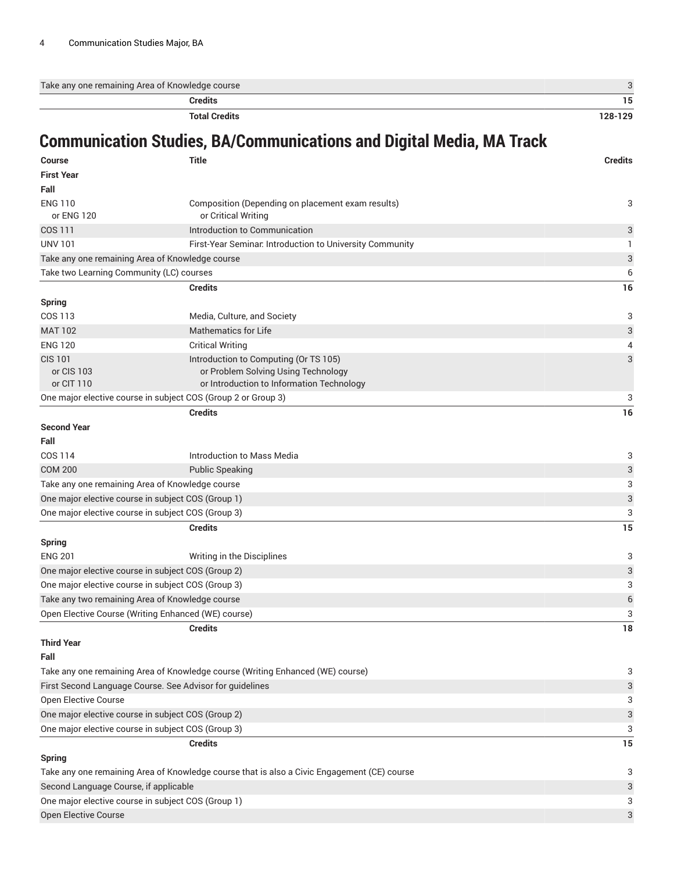| Take any one remaining Area of Knowledge course |         |
|-------------------------------------------------|---------|
| Credits                                         | כ ו     |
| <b>Total Credits</b>                            | 128-129 |

## **Communication Studies, BA/Communications and Digital Media, MA Track**

**Course Title Credits**

| <b>First Year</b>                                                                           |                                                                                                                           |                           |
|---------------------------------------------------------------------------------------------|---------------------------------------------------------------------------------------------------------------------------|---------------------------|
| Fall                                                                                        |                                                                                                                           |                           |
| <b>ENG 110</b><br>or ENG 120                                                                | Composition (Depending on placement exam results)<br>or Critical Writing                                                  | 3                         |
| COS 111                                                                                     | Introduction to Communication                                                                                             | 3                         |
| <b>UNV 101</b>                                                                              | First-Year Seminar. Introduction to University Community                                                                  | 1                         |
| Take any one remaining Area of Knowledge course                                             |                                                                                                                           | 3                         |
| Take two Learning Community (LC) courses                                                    |                                                                                                                           | 6                         |
|                                                                                             | <b>Credits</b>                                                                                                            | 16                        |
| <b>Spring</b>                                                                               |                                                                                                                           |                           |
| <b>COS 113</b>                                                                              | Media, Culture, and Society                                                                                               | 3                         |
| <b>MAT 102</b>                                                                              | <b>Mathematics for Life</b>                                                                                               | $\ensuremath{\mathsf{3}}$ |
| <b>ENG 120</b>                                                                              | <b>Critical Writing</b>                                                                                                   | 4                         |
| <b>CIS 101</b><br>or CIS 103<br>or CIT 110                                                  | Introduction to Computing (Or TS 105)<br>or Problem Solving Using Technology<br>or Introduction to Information Technology | 3                         |
|                                                                                             | One major elective course in subject COS (Group 2 or Group 3)                                                             | 3                         |
| <b>Second Year</b><br>Fall                                                                  | <b>Credits</b>                                                                                                            | 16                        |
| COS 114                                                                                     | Introduction to Mass Media                                                                                                | 3                         |
| <b>COM 200</b>                                                                              | <b>Public Speaking</b>                                                                                                    | 3                         |
| Take any one remaining Area of Knowledge course                                             |                                                                                                                           | 3                         |
| One major elective course in subject COS (Group 1)                                          |                                                                                                                           | $\ensuremath{\mathsf{3}}$ |
| One major elective course in subject COS (Group 3)                                          |                                                                                                                           | 3                         |
|                                                                                             | <b>Credits</b>                                                                                                            | 15                        |
| <b>Spring</b>                                                                               |                                                                                                                           |                           |
| <b>ENG 201</b>                                                                              | Writing in the Disciplines                                                                                                | 3                         |
| One major elective course in subject COS (Group 2)                                          |                                                                                                                           | $\ensuremath{\mathsf{3}}$ |
| One major elective course in subject COS (Group 3)                                          |                                                                                                                           | 3                         |
| Take any two remaining Area of Knowledge course                                             |                                                                                                                           | $\,$ 6 $\,$               |
| Open Elective Course (Writing Enhanced (WE) course)                                         |                                                                                                                           | 3                         |
| <b>Third Year</b>                                                                           | <b>Credits</b>                                                                                                            | 18                        |
| Fall                                                                                        |                                                                                                                           |                           |
|                                                                                             | Take any one remaining Area of Knowledge course (Writing Enhanced (WE) course)                                            | 3                         |
| First Second Language Course. See Advisor for guidelines                                    |                                                                                                                           | 3                         |
| Open Elective Course                                                                        |                                                                                                                           | 3                         |
| One major elective course in subject COS (Group 2)                                          |                                                                                                                           | $\ensuremath{\mathsf{3}}$ |
| One major elective course in subject COS (Group 3)                                          |                                                                                                                           | 3                         |
|                                                                                             | <b>Credits</b>                                                                                                            | 15                        |
| <b>Spring</b>                                                                               |                                                                                                                           |                           |
| Take any one remaining Area of Knowledge course that is also a Civic Engagement (CE) course |                                                                                                                           | 3                         |
| Second Language Course, if applicable                                                       |                                                                                                                           | $\ensuremath{\mathsf{3}}$ |
| One major elective course in subject COS (Group 1)                                          |                                                                                                                           | 3                         |
| Open Elective Course                                                                        |                                                                                                                           | 3                         |